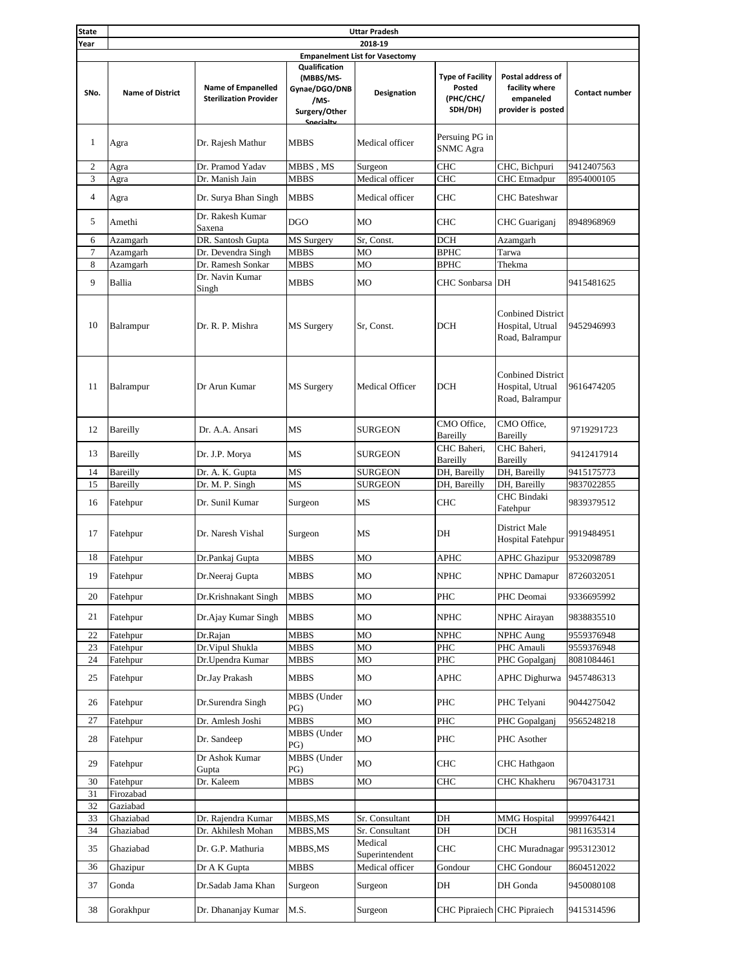| State          | <b>Uttar Pradesh</b>    |                                                            |                                                                                   |                                       |                                                           |                                                                        |                       |  |
|----------------|-------------------------|------------------------------------------------------------|-----------------------------------------------------------------------------------|---------------------------------------|-----------------------------------------------------------|------------------------------------------------------------------------|-----------------------|--|
| Year           | 2018-19                 |                                                            |                                                                                   |                                       |                                                           |                                                                        |                       |  |
|                |                         |                                                            |                                                                                   | <b>Empanelment List for Vasectomy</b> |                                                           |                                                                        |                       |  |
| SNo.           | <b>Name of District</b> | <b>Name of Empanelled</b><br><b>Sterilization Provider</b> | Qualification<br>(MBBS/MS-<br>Gynae/DGO/DNB<br>/MS-<br>Surgery/Other<br>Snecialty | Designation                           | <b>Type of Facility</b><br>Posted<br>(PHC/CHC/<br>SDH/DH) | Postal address of<br>facility where<br>empaneled<br>provider is posted | <b>Contact number</b> |  |
| 1              | Agra                    | Dr. Rajesh Mathur                                          | <b>MBBS</b>                                                                       | Medical officer                       | Persuing PG in<br><b>SNMC</b> Agra                        |                                                                        |                       |  |
| 2              | Agra                    | Dr. Pramod Yadav                                           | MBBS, MS                                                                          | Surgeon                               | <b>CHC</b>                                                | CHC, Bichpuri                                                          | 9412407563            |  |
| 3              | Agra                    | Dr. Manish Jain                                            | <b>MBBS</b>                                                                       | Medical officer                       | <b>CHC</b>                                                | <b>CHC</b> Etmadpur                                                    | 8954000105            |  |
| $\overline{4}$ | Agra                    | Dr. Surya Bhan Singh                                       | <b>MBBS</b>                                                                       | Medical officer                       | CHC                                                       | <b>CHC</b> Bateshwar                                                   |                       |  |
| 5              | Amethi                  | Dr. Rakesh Kumar<br>Saxena                                 | <b>DGO</b>                                                                        | <b>MO</b>                             | <b>CHC</b>                                                | CHC Guariganj                                                          | 8948968969            |  |
| 6              | Azamgarh                | DR. Santosh Gupta                                          | MS Surgery                                                                        | Sr, Const.                            | <b>DCH</b>                                                | Azamgarh                                                               |                       |  |
| $\overline{7}$ | Azamgarh                | Dr. Devendra Singh                                         | <b>MBBS</b>                                                                       | MO                                    | <b>BPHC</b>                                               | Tarwa                                                                  |                       |  |
| 8              | Azamgarh                | Dr. Ramesh Sonkar                                          | <b>MBBS</b>                                                                       | MO                                    | <b>BPHC</b>                                               | Thekma                                                                 |                       |  |
| 9              | Ballia                  | Dr. Navin Kumar<br>Singh                                   | <b>MBBS</b>                                                                       | MO                                    | CHC Sonbarsa DH                                           |                                                                        | 9415481625            |  |
| 10             | Balrampur               | Dr. R. P. Mishra                                           | MS Surgery                                                                        | Sr, Const.                            | <b>DCH</b>                                                | <b>Conbined District</b><br>Hospital, Utrual<br>Road, Balrampur        | 9452946993            |  |
| 11             | Balrampur               | Dr Arun Kumar                                              | MS Surgery                                                                        | Medical Officer                       | <b>DCH</b>                                                | <b>Conbined District</b><br>Hospital, Utrual<br>Road, Balrampur        | 9616474205            |  |
| 12             | Bareilly                | Dr. A.A. Ansari                                            | MS                                                                                | <b>SURGEON</b>                        | CMO Office,<br>Bareilly                                   | CMO Office,<br>Bareilly                                                | 9719291723            |  |
| 13             | Bareilly                | Dr. J.P. Morya                                             | MS                                                                                | <b>SURGEON</b>                        | CHC Baheri,<br>Bareilly                                   | CHC Baheri,<br>Bareilly                                                | 9412417914            |  |
| 14             | Bareilly                | Dr. A. K. Gupta                                            | MS                                                                                | <b>SURGEON</b>                        | DH, Bareilly                                              | DH, Bareilly                                                           | 9415175773            |  |
| 15             | Bareilly                | Dr. M. P. Singh                                            | MS                                                                                | <b>SURGEON</b>                        | DH, Bareilly                                              | DH, Bareilly                                                           | 9837022855            |  |
| 16             | Fatehpur                | Dr. Sunil Kumar                                            | Surgeon                                                                           | MS                                    | <b>CHC</b>                                                | CHC Bindaki<br>Fatehpur                                                | 9839379512            |  |
| 17             | Fatehpur                | Dr. Naresh Vishal                                          | Surgeon                                                                           | MS                                    | DH                                                        | District Male<br>Hospital Fatehpur                                     | 9919484951            |  |
| 18             | Fatehpur                | Dr.Pankaj Gupta                                            | MBBS                                                                              | МO                                    | <b>APHC</b>                                               | <b>APHC Ghazipur</b>                                                   | 9532098789            |  |
| 19             | Fatehpur                | Dr.Neeraj Gupta                                            | MBBS                                                                              | MO                                    | <b>NPHC</b>                                               | <b>NPHC Damapur</b>                                                    | 8726032051            |  |
| 20             | Fatehpur                | Dr.Krishnakant Singh                                       | <b>MBBS</b>                                                                       | MO                                    | PHC                                                       | PHC Deomai                                                             | 9336695992            |  |
| 21             | Fatehpur                | Dr. Ajay Kumar Singh                                       | <b>MBBS</b>                                                                       | $_{\rm MO}$                           | <b>NPHC</b>                                               | NPHC Airayan                                                           | 9838835510            |  |
| 22             | Fatehpur                | Dr.Rajan                                                   | <b>MBBS</b>                                                                       | MO                                    | NPHC                                                      | <b>NPHC</b> Aung                                                       | 9559376948            |  |
| 23             | Fatehpur                | Dr. Vipul Shukla                                           | <b>MBBS</b>                                                                       | MO                                    | PHC                                                       | PHC Amauli                                                             | 9559376948            |  |
| 24             | Fatehpur                | Dr. Upendra Kumar                                          | <b>MBBS</b>                                                                       | MO                                    | PHC                                                       | PHC Gopalganj                                                          | 8081084461            |  |
| 25             | Fatehpur                | Dr.Jay Prakash                                             | MBBS<br>MBBS (Under                                                               | MO                                    | APHC                                                      | <b>APHC Dighurwa</b>                                                   | 9457486313            |  |
| 26             | Fatehpur                | Dr.Surendra Singh                                          | PG)                                                                               | MO                                    | PHC                                                       | PHC Telyani                                                            | 9044275042            |  |
| 27             | Fatehpur                | Dr. Amlesh Joshi                                           | <b>MBBS</b><br>MBBS (Under                                                        | $\overline{MO}$                       | PHC                                                       | PHC Gopalganj                                                          | 9565248218            |  |
| 28             | Fatehpur                | Dr. Sandeep                                                | PG)                                                                               | MO                                    | PHC                                                       | PHC Asother                                                            |                       |  |
| 29             | Fatehpur                | Dr Ashok Kumar<br>Gupta                                    | MBBS (Under<br>PG)                                                                | $_{\rm MO}$                           | <b>CHC</b>                                                | <b>CHC</b> Hathgaon                                                    |                       |  |
| 30             | Fatehpur                | Dr. Kaleem                                                 | MBBS                                                                              | MO                                    | <b>CHC</b>                                                | CHC Khakheru                                                           | 9670431731            |  |
| 31             | Firozabad               |                                                            |                                                                                   |                                       |                                                           |                                                                        |                       |  |
| 32             | Gaziabad                |                                                            |                                                                                   |                                       |                                                           |                                                                        |                       |  |
| 33             | Ghaziabad               | Dr. Rajendra Kumar                                         | MBBS,MS                                                                           | Sr. Consultant                        | $\rm{DH}$                                                 | <b>MMG</b> Hospital                                                    | 9999764421            |  |
| 34<br>35       | Ghaziabad<br>Ghaziabad  | Dr. Akhilesh Mohan<br>Dr. G.P. Mathuria                    | MBBS,MS<br>MBBS,MS                                                                | Sr. Consultant<br>Medical             | DH<br>CHC                                                 | <b>DCH</b><br>CHC Muradnagar 9953123012                                | 9811635314            |  |
|                |                         |                                                            |                                                                                   | Superintendent                        |                                                           |                                                                        |                       |  |
| 36             | Ghazipur                | Dr A K Gupta                                               | <b>MBBS</b>                                                                       | Medical officer                       | Gondour                                                   | <b>CHC</b> Gondour                                                     | 8604512022            |  |
| 37             | Gonda                   | Dr.Sadab Jama Khan                                         | Surgeon                                                                           | Surgeon                               | DH                                                        | DH Gonda                                                               | 9450080108            |  |
| 38             | Gorakhpur               | Dr. Dhananjay Kumar                                        | M.S.                                                                              | Surgeon                               |                                                           | CHC Pipraiech CHC Pipraiech                                            | 9415314596            |  |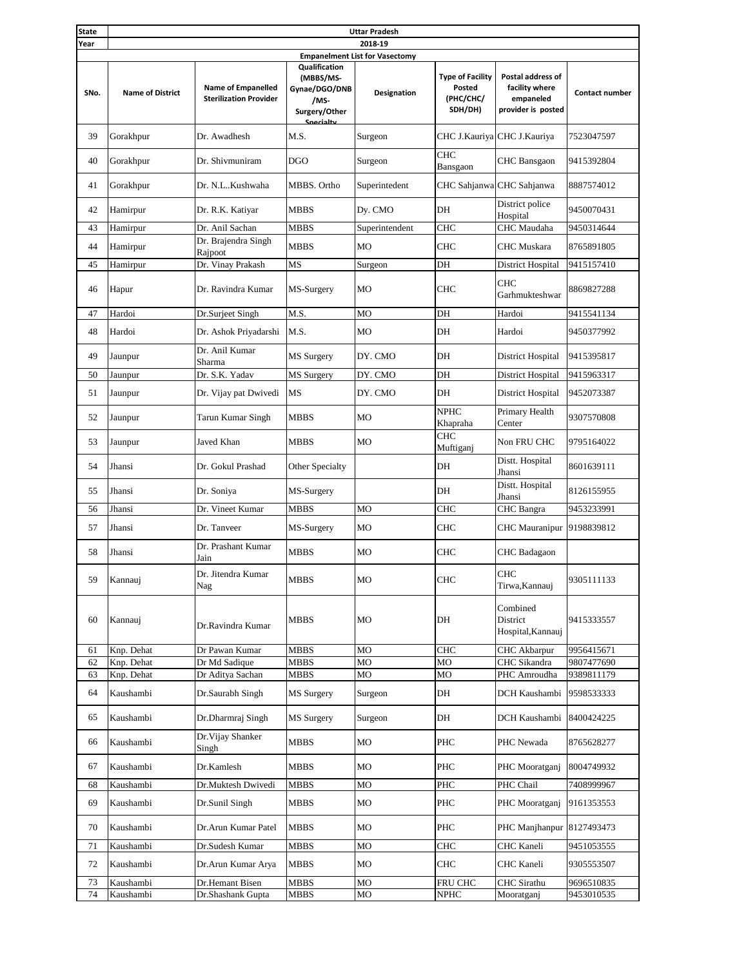| <b>State</b> | <b>Uttar Pradesh</b>    |                                                            |                                                                                   |                                                      |                                                           |                                                                        |                          |  |
|--------------|-------------------------|------------------------------------------------------------|-----------------------------------------------------------------------------------|------------------------------------------------------|-----------------------------------------------------------|------------------------------------------------------------------------|--------------------------|--|
| Year         | 2018-19                 |                                                            |                                                                                   |                                                      |                                                           |                                                                        |                          |  |
| SNo.         | <b>Name of District</b> | <b>Name of Empanelled</b><br><b>Sterilization Provider</b> | Qualification<br>(MBBS/MS-<br>Gynae/DGO/DNB<br>/MS-<br>Surgery/Other<br>Snecialty | <b>Empanelment List for Vasectomy</b><br>Designation | <b>Type of Facility</b><br>Posted<br>(PHC/CHC/<br>SDH/DH) | Postal address of<br>facility where<br>empaneled<br>provider is posted | Contact number           |  |
| 39           | Gorakhpur               | Dr. Awadhesh                                               | M.S.                                                                              | Surgeon                                              |                                                           | CHC J.Kauriya CHC J.Kauriya                                            | 7523047597               |  |
| 40           | Gorakhpur               | Dr. Shivmuniram                                            | <b>DGO</b>                                                                        | Surgeon                                              | <b>CHC</b><br>Bansgaon                                    | <b>CHC</b> Bansgaon                                                    | 9415392804               |  |
| 41           | Gorakhpur               | Dr. N.LKushwaha                                            | MBBS. Ortho                                                                       | Superintedent                                        |                                                           | CHC Sahjanwa CHC Sahjanwa                                              | 8887574012               |  |
| 42           | Hamirpur                | Dr. R.K. Katiyar                                           | <b>MBBS</b>                                                                       | Dy. CMO                                              | DH                                                        | District police<br>Hospital                                            | 9450070431               |  |
| 43           | Hamirpur                | Dr. Anil Sachan                                            | <b>MBBS</b>                                                                       | Superintendent                                       | <b>CHC</b>                                                | <b>CHC</b> Maudaha                                                     | 9450314644               |  |
| 44           | Hamirpur                | Dr. Brajendra Singh<br>Rajpoot                             | <b>MBBS</b>                                                                       | MO                                                   | CHC                                                       | CHC Muskara                                                            | 8765891805               |  |
| 45           | Hamirpur                | Dr. Vinay Prakash                                          | MS                                                                                | Surgeon                                              | DH                                                        | District Hospital                                                      | 9415157410               |  |
| 46           | Hapur                   | Dr. Ravindra Kumar                                         | MS-Surgery                                                                        | MO                                                   | <b>CHC</b>                                                | CHC<br>Garhmukteshwar                                                  | 8869827288               |  |
| 47           | Hardoi                  | Dr.Surjeet Singh                                           | M.S.                                                                              | МO                                                   | DH                                                        | Hardoi                                                                 | 9415541134               |  |
| 48           | Hardoi                  | Dr. Ashok Priyadarshi                                      | M.S.                                                                              | MO                                                   | DH                                                        | Hardoi                                                                 | 9450377992               |  |
| 49           | Jaunpur                 | Dr. Anil Kumar<br>Sharma                                   | <b>MS</b> Surgery                                                                 | DY. CMO                                              | DH                                                        | District Hospital                                                      | 9415395817               |  |
| 50           | Jaunpur                 | Dr. S.K. Yadav                                             | MS Surgery                                                                        | DY. CMO                                              | DH                                                        | District Hospital                                                      | 9415963317               |  |
| 51           | Jaunpur                 | Dr. Vijay pat Dwivedi                                      | MS                                                                                | DY. CMO                                              | DH                                                        | District Hospital                                                      | 9452073387               |  |
| 52           | Jaunpur                 | Tarun Kumar Singh                                          | <b>MBBS</b>                                                                       | MO                                                   | <b>NPHC</b><br>Khapraha                                   | Primary Health<br>Center                                               | 9307570808               |  |
| 53           | Jaunpur                 | Javed Khan                                                 | <b>MBBS</b>                                                                       | <b>MO</b>                                            | <b>CHC</b><br>Muftiganj                                   | Non FRU CHC                                                            | 9795164022               |  |
| 54           | Jhansi                  | Dr. Gokul Prashad                                          | Other Specialty                                                                   |                                                      | DH                                                        | Distt. Hospital<br>Jhansi<br>Distt. Hospital                           | 8601639111               |  |
| 55           | Jhansi                  | Dr. Soniya                                                 | MS-Surgery                                                                        |                                                      | DH                                                        | Jhansi                                                                 | 8126155955               |  |
| 56           | Jhansi                  | Dr. Vineet Kumar                                           | <b>MBBS</b>                                                                       | <b>MO</b>                                            | <b>CHC</b>                                                | CHC Bangra                                                             | 9453233991               |  |
| 57           | Jhansi                  | Dr. Tanveer                                                | MS-Surgery                                                                        | MO                                                   | CHC                                                       | CHC Mauranipur                                                         | 9198839812               |  |
| 58           | Jhansi                  | Dr. Prashant Kumar<br>Jain                                 | <b>MBBS</b>                                                                       | <b>MO</b>                                            | <b>CHC</b>                                                | CHC Badagaon                                                           |                          |  |
| 59           | Kannauj                 | Dr. Jitendra Kumar<br>Nag                                  | <b>MBBS</b>                                                                       | MO                                                   | <b>CHC</b>                                                | <b>CHC</b><br>Tirwa, Kannauj                                           | 9305111133               |  |
| 60           | Kannauj                 | Dr.Ravindra Kumar                                          | <b>MBBS</b>                                                                       | МO                                                   | DH                                                        | Combined<br>District<br>Hospital, Kannauj                              | 9415333557               |  |
| 61           | Knp. Dehat              | Dr Pawan Kumar                                             | <b>MBBS</b>                                                                       | MO                                                   | <b>CHC</b>                                                | <b>CHC</b> Akbarpur                                                    | 9956415671               |  |
| 62           | Knp. Dehat              | Dr Md Sadique                                              | <b>MBBS</b>                                                                       | MO                                                   | MO                                                        | CHC Sikandra                                                           | 9807477690               |  |
| 63           | Knp. Dehat              | Dr Aditya Sachan                                           | MBBS                                                                              | МO                                                   | MO                                                        | PHC Amroudha                                                           | 9389811179               |  |
| 64           | Kaushambi               | Dr.Saurabh Singh                                           | MS Surgery                                                                        | Surgeon                                              | DH                                                        | DCH Kaushambi                                                          | 9598533333               |  |
| 65           | Kaushambi               | Dr.Dharmraj Singh<br>Dr. Vijay Shanker                     | MS Surgery                                                                        | Surgeon                                              | DH                                                        | DCH Kaushambi                                                          | 8400424225               |  |
| 66           | Kaushambi               | Singh                                                      | <b>MBBS</b>                                                                       | MO                                                   | PHC                                                       | PHC Newada                                                             | 8765628277               |  |
| 67           | Kaushambi               | Dr.Kamlesh                                                 | MBBS                                                                              | МO                                                   | PHC                                                       | PHC Mooratganj                                                         | 8004749932               |  |
| 68           | Kaushambi               | Dr.Muktesh Dwivedi                                         | MBBS                                                                              | МO                                                   | PHC                                                       | PHC Chail                                                              | 7408999967               |  |
| 69           | Kaushambi               | Dr.Sunil Singh                                             | MBBS                                                                              | МO                                                   | PHC                                                       | PHC Mooratganj                                                         | 9161353553               |  |
| 70           | Kaushambi               | Dr.Arun Kumar Patel                                        | <b>MBBS</b>                                                                       | MO                                                   | PHC                                                       | PHC Manjhanpur 8127493473                                              |                          |  |
| 71           | Kaushambi               | Dr.Sudesh Kumar                                            | <b>MBBS</b>                                                                       | $_{\rm MO}$                                          | <b>CHC</b>                                                | CHC Kaneli                                                             | 9451053555               |  |
| 72           | Kaushambi               | Dr. Arun Kumar Arya                                        | <b>MBBS</b>                                                                       | МO                                                   | CHC                                                       | CHC Kaneli                                                             | 9305553507               |  |
| 73<br>74     | Kaushambi<br>Kaushambi  | Dr.Hemant Bisen<br>Dr.Shashank Gupta                       | <b>MBBS</b><br>MBBS                                                               | MO<br>MO                                             | FRU CHC<br>$\ensuremath{\mathsf{NPHC}}$                   | CHC Sirathu<br>Mooratganj                                              | 9696510835<br>9453010535 |  |
|              |                         |                                                            |                                                                                   |                                                      |                                                           |                                                                        |                          |  |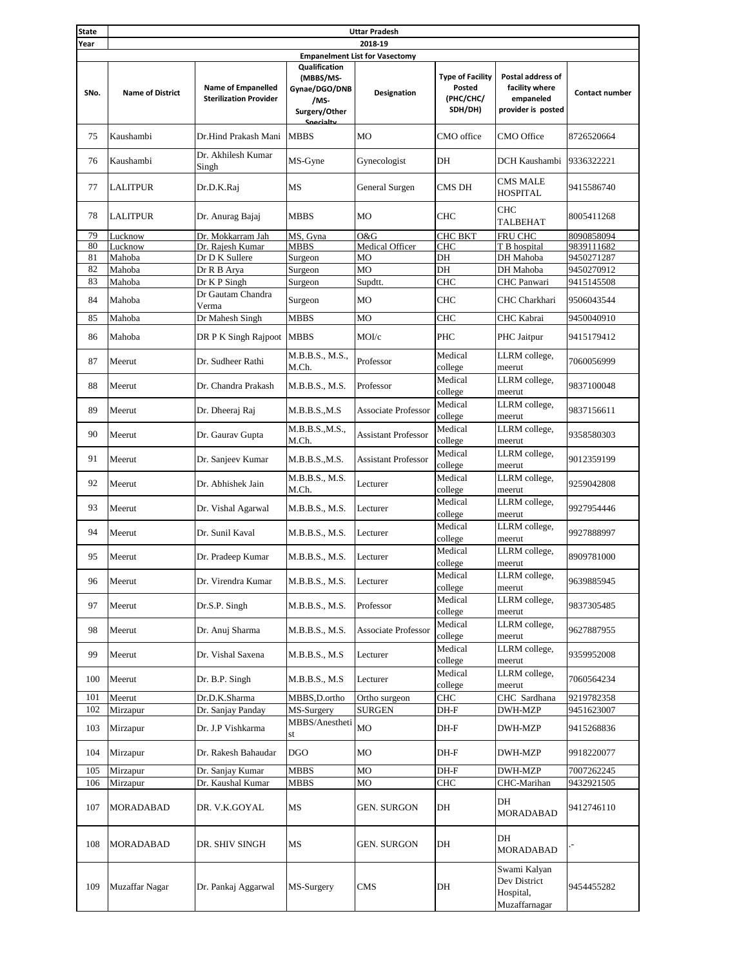| <b>State</b> | <b>Uttar Pradesh</b>    |                                                            |                                                                                   |                                       |                                                           |                                                                        |                |  |
|--------------|-------------------------|------------------------------------------------------------|-----------------------------------------------------------------------------------|---------------------------------------|-----------------------------------------------------------|------------------------------------------------------------------------|----------------|--|
| Year         | 2018-19                 |                                                            |                                                                                   |                                       |                                                           |                                                                        |                |  |
|              |                         |                                                            |                                                                                   | <b>Empanelment List for Vasectomy</b> |                                                           |                                                                        |                |  |
| SNo.         | <b>Name of District</b> | <b>Name of Empanelled</b><br><b>Sterilization Provider</b> | Qualification<br>(MBBS/MS-<br>Gynae/DGO/DNB<br>/MS-<br>Surgery/Other<br>Snecialty | Designation                           | <b>Type of Facility</b><br>Posted<br>(PHC/CHC/<br>SDH/DH) | Postal address of<br>facility where<br>empaneled<br>provider is posted | Contact number |  |
| 75           | Kaushambi               | Dr.Hind Prakash Mani                                       | <b>MBBS</b>                                                                       | MO                                    | CMO office                                                | CMO Office                                                             | 8726520664     |  |
| 76           | Kaushambi               | Dr. Akhilesh Kumar<br>Singh                                | MS-Gyne                                                                           | Gynecologist                          | DH                                                        | DCH Kaushambi                                                          | 9336322221     |  |
| 77           | <b>LALITPUR</b>         | Dr.D.K.Raj                                                 | MS                                                                                | General Surgen                        | CMS DH                                                    | CMS MALE<br><b>HOSPITAL</b>                                            | 9415586740     |  |
| 78           | <b>LALITPUR</b>         | Dr. Anurag Bajaj                                           | <b>MBBS</b>                                                                       | MO                                    | <b>CHC</b>                                                | <b>CHC</b><br>TALBEHAT                                                 | 8005411268     |  |
| 79           | Lucknow                 | Dr. Mokkarram Jah                                          | MS, Gyna                                                                          | O&G                                   | <b>CHC BKT</b>                                            | <b>FRU CHC</b>                                                         | 8090858094     |  |
| 80           | Lucknow                 | Dr. Rajesh Kumar                                           | <b>MBBS</b>                                                                       | Medical Officer                       | <b>CHC</b>                                                | T B hospital                                                           | 9839111682     |  |
| 81           | Mahoba                  | Dr D K Sullere                                             | Surgeon                                                                           | MO                                    | DH                                                        | DH Mahoba                                                              | 9450271287     |  |
| 82           | Mahoba                  | Dr R B Arya                                                | Surgeon                                                                           | MO                                    | DH                                                        | DH Mahoba                                                              | 9450270912     |  |
| 83           | Mahoba                  | Dr K P Singh                                               | Surgeon                                                                           | Supdtt.                               | <b>CHC</b>                                                | <b>CHC Panwari</b>                                                     | 9415145508     |  |
| 84           | Mahoba                  | Dr Gautam Chandra<br>Verma                                 | Surgeon                                                                           | MO                                    | <b>CHC</b>                                                | CHC Charkhari                                                          | 9506043544     |  |
| 85           | Mahoba                  | Dr Mahesh Singh                                            | <b>MBBS</b>                                                                       | MO                                    | <b>CHC</b>                                                | CHC Kabrai                                                             | 9450040910     |  |
| 86           | Mahoba                  | DR P K Singh Rajpoot                                       | <b>MBBS</b>                                                                       | MOI/c                                 | <b>PHC</b>                                                | PHC Jaitpur                                                            | 9415179412     |  |
| 87           | Meerut                  | Dr. Sudheer Rathi                                          | M.B.B.S., M.S.,<br>M.Ch.                                                          | Professor                             | Medical<br>college                                        | LLRM college,<br>meerut                                                | 7060056999     |  |
| 88           | Meerut                  | Dr. Chandra Prakash                                        | M.B.B.S., M.S.                                                                    | Professor                             | Medical<br>college                                        | LLRM college,<br>meerut                                                | 9837100048     |  |
| 89           | Meerut                  | Dr. Dheeraj Raj                                            | M.B.B.S., M.S                                                                     | <b>Associate Professor</b>            | Medical<br>college                                        | LLRM college,<br>meerut                                                | 9837156611     |  |
| 90           | Meerut                  | Dr. Gaurav Gupta                                           | M.B.B.S., M.S.,<br>M.Ch.                                                          | <b>Assistant Professor</b>            | Medical<br>college                                        | LLRM college,<br>meerut                                                | 9358580303     |  |
| 91           | Meerut                  | Dr. Sanjeev Kumar                                          | M.B.B.S., M.S.                                                                    | <b>Assistant Professor</b>            | Medical<br>college                                        | LLRM college,<br>meerut                                                | 9012359199     |  |
| 92           | Meerut                  | Dr. Abhishek Jain                                          | M.B.B.S., M.S.<br>M.Ch.                                                           | Lecturer                              | Medical<br>college<br>Medical                             | LLRM college,<br>meerut<br>LLRM college,                               | 9259042808     |  |
| 93           | Meerut                  | Dr. Vishal Agarwal                                         | M.B.B.S., M.S.                                                                    | Lecturer                              | college<br>Medical                                        | meerut<br>LLRM college,                                                | 9927954446     |  |
| 94           | Meerut                  | Dr. Sunil Kaval                                            | M.B.B.S., M.S.                                                                    | Lecturer                              | college<br>Medical                                        | meerut<br>LLRM college,                                                | 9927888997     |  |
| 95           | Meerut                  | Dr. Pradeep Kumar                                          | M.B.B.S., M.S.                                                                    | Lecturer                              | college<br>Medical                                        | meerut<br>LLRM college,                                                | 8909781000     |  |
| 96           | Meerut                  | Dr. Virendra Kumar                                         | M.B.B.S., M.S.                                                                    | Lecturer                              | college<br>Medical                                        | meerut<br>LLRM college,                                                | 9639885945     |  |
| 97           | Meerut                  | Dr.S.P. Singh                                              | M.B.B.S., M.S.                                                                    | Professor                             | college<br>Medical                                        | meerut<br>LLRM college,                                                | 9837305485     |  |
| 98           | Meerut                  | Dr. Anuj Sharma                                            | M.B.B.S., M.S.                                                                    | <b>Associate Professor</b>            | college<br>Medical                                        | meerut<br>LLRM college,                                                | 9627887955     |  |
| 99           | Meerut                  | Dr. Vishal Saxena                                          | M.B.B.S., M.S                                                                     | Lecturer                              | college<br>Medical                                        | meerut<br>LLRM college,                                                | 9359952008     |  |
| 100          | Meerut                  | Dr. B.P. Singh                                             | M.B.B.S., M.S                                                                     | Lecturer                              | college                                                   | meerut                                                                 | 7060564234     |  |
| 101          | Meerut                  | Dr.D.K.Sharma                                              | MBBS,D.ortho                                                                      | Ortho surgeon                         | CHC                                                       | CHC Sardhana                                                           | 9219782358     |  |
| 102          | Mirzapur                | Dr. Sanjay Panday                                          | MS-Surgery                                                                        | <b>SURGEN</b>                         | $DH-F$                                                    | DWH-MZP                                                                | 9451623007     |  |
| 103          | Mirzapur                | Dr. J.P Vishkarma                                          | MBBS/Anestheti<br>st                                                              | MO                                    | $DH-F$                                                    | DWH-MZP                                                                | 9415268836     |  |
| 104          | Mirzapur                | Dr. Rakesh Bahaudar                                        | <b>DGO</b>                                                                        | МO                                    | DH-F                                                      | DWH-MZP                                                                | 9918220077     |  |
| 105          | Mirzapur                | Dr. Sanjay Kumar                                           | <b>MBBS</b>                                                                       | MO                                    | $DH-F$                                                    | DWH-MZP                                                                | 7007262245     |  |
| 106          | Mirzapur                | Dr. Kaushal Kumar                                          | MBBS                                                                              | МO                                    | <b>CHC</b>                                                | CHC-Marihan                                                            | 9432921505     |  |
| 107          | MORADABAD               | DR. V.K.GOYAL                                              | MS                                                                                | GEN. SURGON                           | DH                                                        | DH<br><b>MORADABAD</b>                                                 | 9412746110     |  |
| 108          | MORADABAD               | DR. SHIV SINGH                                             | MS                                                                                | GEN. SURGON                           | DH                                                        | DH<br><b>MORADABAD</b>                                                 |                |  |
| 109          | Muzaffar Nagar          | Dr. Pankaj Aggarwal                                        | MS-Surgery                                                                        | CMS                                   | DH                                                        | Swami Kalyan<br>Dev District<br>Hospital,<br>Muzaffarnagar             | 9454455282     |  |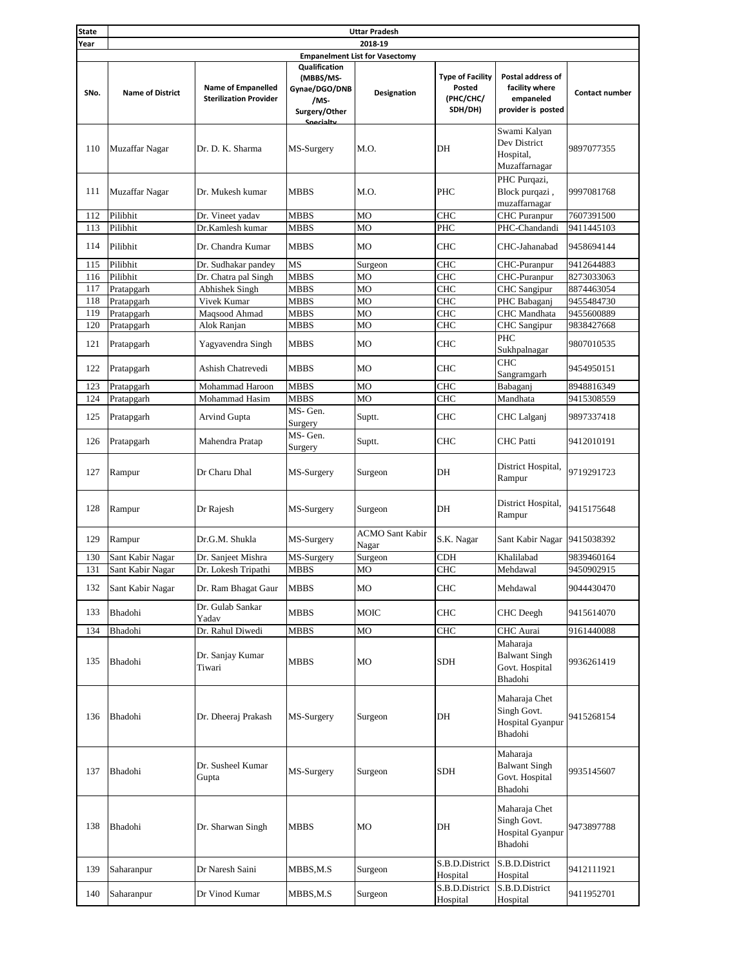| <b>State</b> |                                       |                                                            |                                                                                          | <b>Uttar Pradesh</b>            |                                                           |                                                                        |                       |  |
|--------------|---------------------------------------|------------------------------------------------------------|------------------------------------------------------------------------------------------|---------------------------------|-----------------------------------------------------------|------------------------------------------------------------------------|-----------------------|--|
| Year         | 2018-19                               |                                                            |                                                                                          |                                 |                                                           |                                                                        |                       |  |
|              | <b>Empanelment List for Vasectomy</b> |                                                            |                                                                                          |                                 |                                                           |                                                                        |                       |  |
| SNo.         | <b>Name of District</b>               | <b>Name of Empanelled</b><br><b>Sterilization Provider</b> | <b>Qualification</b><br>(MBBS/MS-<br>Gynae/DGO/DNB<br>/MS-<br>Surgery/Other<br>Snecialty | Designation                     | <b>Type of Facility</b><br>Posted<br>(PHC/CHC/<br>SDH/DH) | Postal address of<br>facility where<br>empaneled<br>provider is posted | <b>Contact number</b> |  |
| 110          | Muzaffar Nagar                        | Dr. D. K. Sharma                                           | MS-Surgery                                                                               | M.O.                            | DH                                                        | Swami Kalyan<br>Dev District<br>Hospital,<br>Muzaffarnagar             | 9897077355            |  |
| 111          | Muzaffar Nagar                        | Dr. Mukesh kumar                                           | <b>MBBS</b>                                                                              | M.O.                            | PHC                                                       | PHC Purqazi,<br>Block purqazi,<br>muzaffarnagar                        | 9997081768            |  |
| 112          | Pilibhit                              | Dr. Vineet yadav                                           | <b>MBBS</b>                                                                              | MO                              | <b>CHC</b>                                                | <b>CHC</b> Puranpur                                                    | 7607391500            |  |
| 113          | Pilibhit                              | Dr.Kamlesh kumar                                           | <b>MBBS</b>                                                                              | МO                              | PHC                                                       | PHC-Chandandi                                                          | 9411445103            |  |
| 114          | Pilibhit                              | Dr. Chandra Kumar                                          | <b>MBBS</b>                                                                              | MO                              | CHC                                                       | CHC-Jahanabad                                                          | 9458694144            |  |
| 115          | Pilibhit                              | Dr. Sudhakar pandey                                        | MS                                                                                       | Surgeon                         | <b>CHC</b>                                                | <b>CHC-Puranpur</b>                                                    | 9412644883            |  |
| 116          | Pilibhit                              | Dr. Chatra pal Singh                                       | <b>MBBS</b>                                                                              | MO                              | <b>CHC</b>                                                | CHC-Puranpur                                                           | 8273033063            |  |
| 117          | Pratapgarh                            | Abhishek Singh                                             | <b>MBBS</b>                                                                              | MO                              | <b>CHC</b>                                                | <b>CHC</b> Sangipur                                                    | 8874463054            |  |
| 118          | Pratapgarh                            | Vivek Kumar                                                | <b>MBBS</b>                                                                              | MO                              | <b>CHC</b>                                                | PHC Babaganj                                                           | 9455484730            |  |
| 119          | Pratapgarh                            | Maqsood Ahmad                                              | <b>MBBS</b>                                                                              | МO                              | CHC                                                       | <b>CHC</b> Mandhata                                                    | 9455600889            |  |
| 120          | Pratapgarh                            | Alok Ranjan                                                | <b>MBBS</b>                                                                              | MO                              | <b>CHC</b>                                                | <b>CHC</b> Sangipur                                                    | 9838427668            |  |
| 121          | Pratapgarh                            | Yagyavendra Singh                                          | <b>MBBS</b>                                                                              | MO                              | CHC                                                       | <b>PHC</b><br>Sukhpalnagar                                             | 9807010535            |  |
| 122          | Pratapgarh                            | Ashish Chatrevedi                                          | <b>MBBS</b>                                                                              | <b>MO</b>                       | <b>CHC</b>                                                | <b>CHC</b><br>Sangramgarh                                              | 9454950151            |  |
| 123          | Pratapgarh                            | Mohammad Haroon                                            | <b>MBBS</b>                                                                              | <b>MO</b>                       | <b>CHC</b>                                                | Babaganj                                                               | 8948816349            |  |
| 124          | Pratapgarh                            | Mohammad Hasim                                             | <b>MBBS</b>                                                                              | MO                              | <b>CHC</b>                                                | Mandhata                                                               | 9415308559            |  |
| 125          | Pratapgarh                            | Arvind Gupta                                               | MS-Gen.<br>Surgery                                                                       | Suptt.                          | CHC                                                       | CHC Lalganj                                                            | 9897337418            |  |
| 126          | Pratapgarh                            | Mahendra Pratap                                            | MS-Gen.<br>Surgery                                                                       | Suptt.                          | CHC                                                       | <b>CHC</b> Patti                                                       | 9412010191            |  |
| 127          | Rampur                                | Dr Charu Dhal                                              | MS-Surgery                                                                               | Surgeon                         | DH                                                        | District Hospital,<br>Rampur                                           | 9719291723            |  |
| 128          | Rampur                                | Dr Rajesh                                                  | MS-Surgery                                                                               | Surgeon                         | DH                                                        | District Hospital,<br>Rampur                                           | 9415175648            |  |
| 129          | Rampur                                | Dr.G.M. Shukla                                             | MS-Surgery                                                                               | <b>ACMO Sant Kabir</b><br>Nagar | S.K. Nagar                                                | Sant Kabir Nagar 9415038392                                            |                       |  |
| 130          | Sant Kabir Nagar                      | Dr. Sanjeet Mishra                                         | MS-Surgery                                                                               | Surgeon                         | CDH                                                       | Khalilabad                                                             | 9839460164            |  |
| 131          | Sant Kabir Nagar                      | Dr. Lokesh Tripathi                                        | <b>MBBS</b>                                                                              | MO                              | <b>CHC</b>                                                | Mehdawal                                                               | 9450902915            |  |
| 132          | Sant Kabir Nagar                      | Dr. Ram Bhagat Gaur                                        | <b>MBBS</b>                                                                              | MO                              | <b>CHC</b>                                                | Mehdawal                                                               | 9044430470            |  |
| 133          | Bhadohi                               | Dr. Gulab Sankar<br>Yadav                                  | MBBS                                                                                     | <b>MOIC</b>                     | CHC                                                       | CHC Deegh                                                              | 9415614070            |  |
| 134          | Bhadohi                               | Dr. Rahul Diwedi                                           | MBBS                                                                                     | MO                              | CHC                                                       | CHC Aurai                                                              | 9161440088            |  |
| 135          | Bhadohi                               | Dr. Sanjay Kumar<br>Tiwari                                 | <b>MBBS</b>                                                                              | MO                              | <b>SDH</b>                                                | Maharaja<br><b>Balwant Singh</b><br>Govt. Hospital<br>Bhadohi          | 9936261419            |  |
| 136          | Bhadohi                               | Dr. Dheeraj Prakash                                        | MS-Surgery                                                                               | Surgeon                         | DH                                                        | Maharaja Chet<br>Singh Govt.<br><b>Hospital Gyanpur</b><br>Bhadohi     | 9415268154            |  |
| 137          | Bhadohi                               | Dr. Susheel Kumar<br>Gupta                                 | MS-Surgery                                                                               | Surgeon                         | <b>SDH</b>                                                | Maharaja<br><b>Balwant Singh</b><br>Govt. Hospital<br>Bhadohi          | 9935145607            |  |
| 138          | Bhadohi                               | Dr. Sharwan Singh                                          | <b>MBBS</b>                                                                              | MO                              | DH                                                        | Maharaja Chet<br>Singh Govt.<br>Hospital Gyanpur<br>Bhadohi            | 9473897788            |  |
| 139          | Saharanpur                            | Dr Naresh Saini                                            | MBBS,M.S                                                                                 | Surgeon                         | S.B.D.District<br>Hospital                                | S.B.D.District<br>Hospital                                             | 9412111921            |  |
| 140          | Saharanpur                            | Dr Vinod Kumar                                             | MBBS,M.S                                                                                 | Surgeon                         | S.B.D.District<br>Hospital                                | S.B.D.District<br>Hospital                                             | 9411952701            |  |